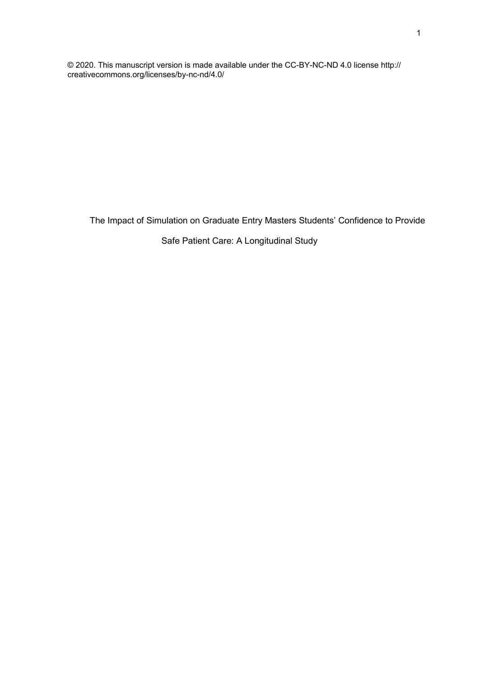© 2020. This manuscript version is made available under the CC-BY-NC-ND 4.0 license http:// creativecommons.org/licenses/by-nc-nd/4.0/

The Impact of Simulation on Graduate Entry Masters Students' Confidence to Provide

## Safe Patient Care: A Longitudinal Study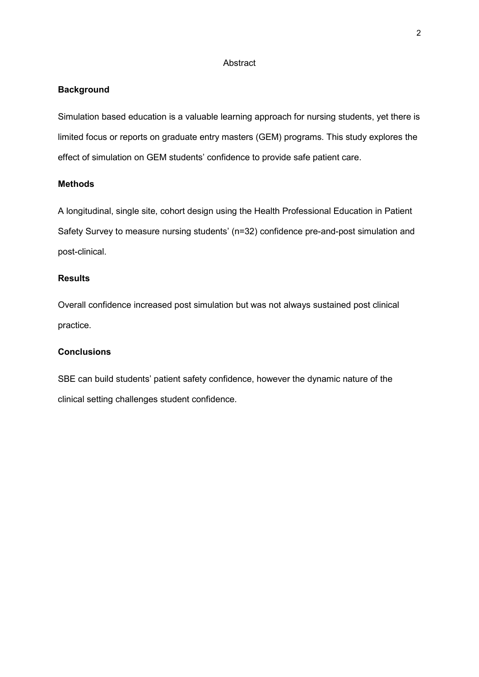#### **Abstract**

#### **Background**

Simulation based education is a valuable learning approach for nursing students, yet there is limited focus or reports on graduate entry masters (GEM) programs. This study explores the effect of simulation on GEM students' confidence to provide safe patient care.

### **Methods**

A longitudinal, single site, cohort design using the Health Professional Education in Patient Safety Survey to measure nursing students' (n=32) confidence pre-and-post simulation and post-clinical.

## **Results**

Overall confidence increased post simulation but was not always sustained post clinical practice.

## **Conclusions**

SBE can build students' patient safety confidence, however the dynamic nature of the clinical setting challenges student confidence.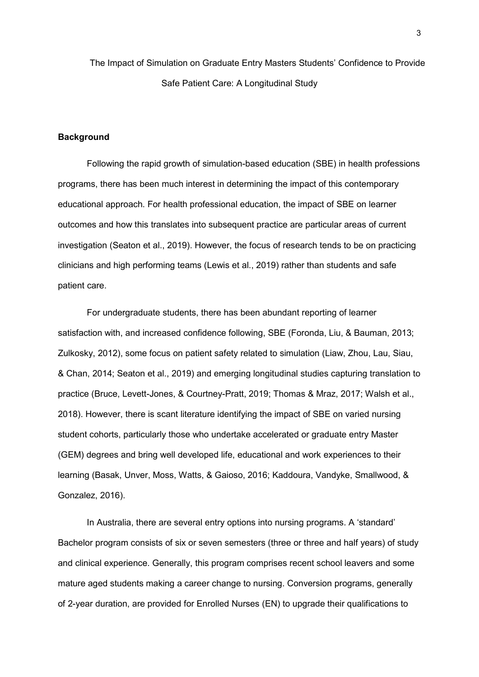The Impact of Simulation on Graduate Entry Masters Students' Confidence to Provide Safe Patient Care: A Longitudinal Study

### **Background**

Following the rapid growth of simulation-based education (SBE) in health professions programs, there has been much interest in determining the impact of this contemporary educational approach. For health professional education, the impact of SBE on learner outcomes and how this translates into subsequent practice are particular areas of current investigation (Seaton et al., 2019). However, the focus of research tends to be on practicing clinicians and high performing teams (Lewis et al., 2019) rather than students and safe patient care.

For undergraduate students, there has been abundant reporting of learner satisfaction with, and increased confidence following, SBE (Foronda, Liu, & Bauman, 2013; Zulkosky, 2012), some focus on patient safety related to simulation (Liaw, Zhou, Lau, Siau, & Chan, 2014; Seaton et al., 2019) and emerging longitudinal studies capturing translation to practice (Bruce, Levett-Jones, & Courtney-Pratt, 2019; Thomas & Mraz, 2017; Walsh et al., 2018). However, there is scant literature identifying the impact of SBE on varied nursing student cohorts, particularly those who undertake accelerated or graduate entry Master (GEM) degrees and bring well developed life, educational and work experiences to their learning (Basak, Unver, Moss, Watts, & Gaioso, 2016; Kaddoura, Vandyke, Smallwood, & Gonzalez, 2016).

In Australia, there are several entry options into nursing programs. A 'standard' Bachelor program consists of six or seven semesters (three or three and half years) of study and clinical experience. Generally, this program comprises recent school leavers and some mature aged students making a career change to nursing. Conversion programs, generally of 2-year duration, are provided for Enrolled Nurses (EN) to upgrade their qualifications to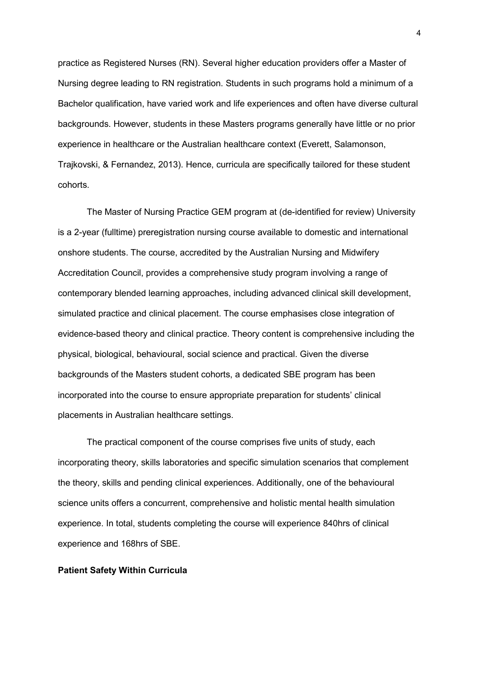practice as Registered Nurses (RN). Several higher education providers offer a Master of Nursing degree leading to RN registration. Students in such programs hold a minimum of a Bachelor qualification, have varied work and life experiences and often have diverse cultural backgrounds. However, students in these Masters programs generally have little or no prior experience in healthcare or the Australian healthcare context (Everett, Salamonson, Trajkovski, & Fernandez, 2013). Hence, curricula are specifically tailored for these student cohorts.

The Master of Nursing Practice GEM program at (de-identified for review) University is a 2-year (fulltime) preregistration nursing course available to domestic and international onshore students. The course, accredited by the Australian Nursing and Midwifery Accreditation Council, provides a comprehensive study program involving a range of contemporary blended learning approaches, including advanced clinical skill development, simulated practice and clinical placement. The course emphasises close integration of evidence-based theory and clinical practice. Theory content is comprehensive including the physical, biological, behavioural, social science and practical. Given the diverse backgrounds of the Masters student cohorts, a dedicated SBE program has been incorporated into the course to ensure appropriate preparation for students' clinical placements in Australian healthcare settings.

The practical component of the course comprises five units of study, each incorporating theory, skills laboratories and specific simulation scenarios that complement the theory, skills and pending clinical experiences. Additionally, one of the behavioural science units offers a concurrent, comprehensive and holistic mental health simulation experience. In total, students completing the course will experience 840hrs of clinical experience and 168hrs of SBE.

#### **Patient Safety Within Curricula**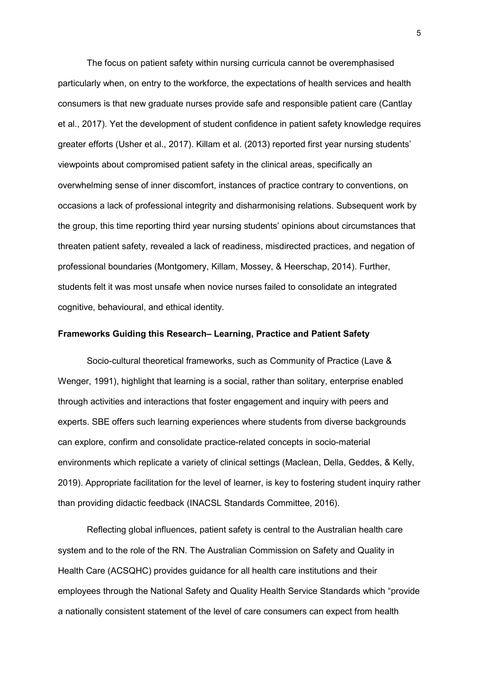The focus on patient safety within nursing curricula cannot be overemphasised particularly when, on entry to the workforce, the expectations of health services and health consumers is that new graduate nurses provide safe and responsible patient care (Cantlay et al., 2017). Yet the development of student confidence in patient safety knowledge requires greater efforts (Usher et al., 2017). Killam et al. (2013) reported first year nursing students' viewpoints about compromised patient safety in the clinical areas, specifically an overwhelming sense of inner discomfort, instances of practice contrary to conventions, on occasions a lack of professional integrity and disharmonising relations. Subsequent work by the group, this time reporting third year nursing students' opinions about circumstances that threaten patient safety, revealed a lack of readiness, misdirected practices, and negation of professional boundaries (Montgomery, Killam, Mossey, & Heerschap, 2014). Further, students felt it was most unsafe when novice nurses failed to consolidate an integrated cognitive, behavioural, and ethical identity.

#### **Frameworks Guiding this Research– Learning, Practice and Patient Safety**

Socio-cultural theoretical frameworks, such as Community of Practice (Lave & Wenger, 1991), highlight that learning is a social, rather than solitary, enterprise enabled through activities and interactions that foster engagement and inquiry with peers and experts. SBE offers such learning experiences where students from diverse backgrounds can explore, confirm and consolidate practice-related concepts in socio-material environments which replicate a variety of clinical settings (Maclean, Della, Geddes, & Kelly, 2019). Appropriate facilitation for the level of learner, is key to fostering student inquiry rather than providing didactic feedback (INACSL Standards Committee, 2016).

Reflecting global influences, patient safety is central to the Australian health care system and to the role of the RN. The Australian Commission on Safety and Quality in Health Care (ACSQHC) provides guidance for all health care institutions and their employees through the National Safety and Quality Health Service Standards which "provide a nationally consistent statement of the level of care consumers can expect from health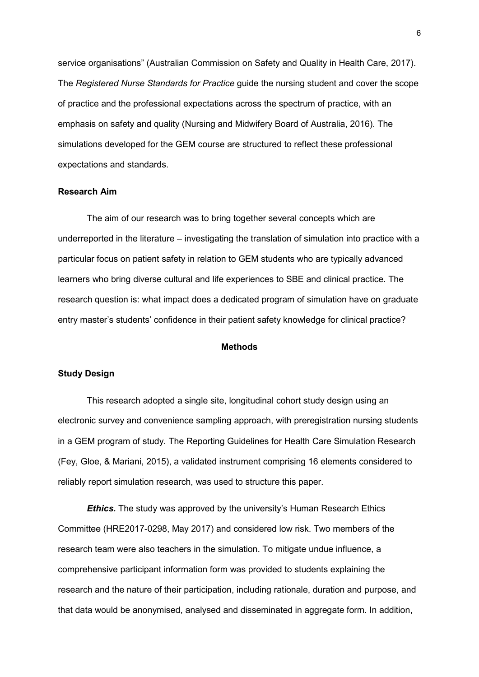service organisations" (Australian Commission on Safety and Quality in Health Care, 2017). The *Registered Nurse Standards for Practice* guide the nursing student and cover the scope of practice and the professional expectations across the spectrum of practice, with an emphasis on safety and quality (Nursing and Midwifery Board of Australia, 2016). The simulations developed for the GEM course are structured to reflect these professional expectations and standards.

#### **Research Aim**

The aim of our research was to bring together several concepts which are underreported in the literature – investigating the translation of simulation into practice with a particular focus on patient safety in relation to GEM students who are typically advanced learners who bring diverse cultural and life experiences to SBE and clinical practice. The research question is: what impact does a dedicated program of simulation have on graduate entry master's students' confidence in their patient safety knowledge for clinical practice?

#### **Methods**

#### **Study Design**

This research adopted a single site, longitudinal cohort study design using an electronic survey and convenience sampling approach, with preregistration nursing students in a GEM program of study. The Reporting Guidelines for Health Care Simulation Research (Fey, Gloe, & Mariani, 2015), a validated instrument comprising 16 elements considered to reliably report simulation research, was used to structure this paper.

*Ethics.* The study was approved by the university's Human Research Ethics Committee (HRE2017-0298, May 2017) and considered low risk. Two members of the research team were also teachers in the simulation. To mitigate undue influence, a comprehensive participant information form was provided to students explaining the research and the nature of their participation, including rationale, duration and purpose, and that data would be anonymised, analysed and disseminated in aggregate form. In addition,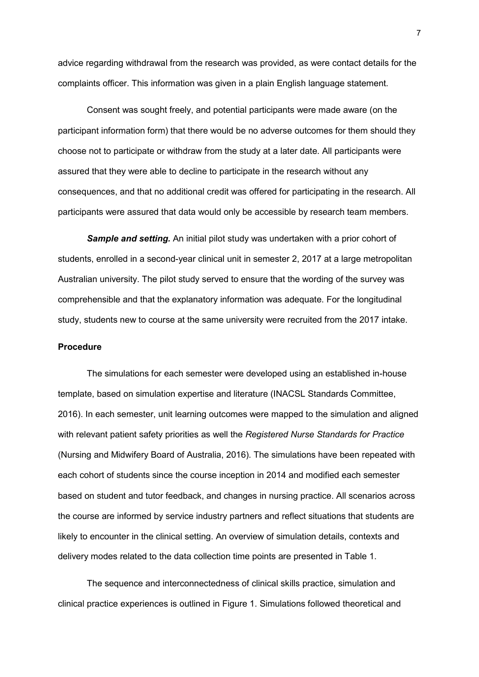advice regarding withdrawal from the research was provided, as were contact details for the complaints officer. This information was given in a plain English language statement.

Consent was sought freely, and potential participants were made aware (on the participant information form) that there would be no adverse outcomes for them should they choose not to participate or withdraw from the study at a later date. All participants were assured that they were able to decline to participate in the research without any consequences, and that no additional credit was offered for participating in the research. All participants were assured that data would only be accessible by research team members.

*Sample and setting.* An initial pilot study was undertaken with a prior cohort of students, enrolled in a second-year clinical unit in semester 2, 2017 at a large metropolitan Australian university. The pilot study served to ensure that the wording of the survey was comprehensible and that the explanatory information was adequate. For the longitudinal study, students new to course at the same university were recruited from the 2017 intake.

#### **Procedure**

The simulations for each semester were developed using an established in-house template, based on simulation expertise and literature (INACSL Standards Committee, 2016). In each semester, unit learning outcomes were mapped to the simulation and aligned with relevant patient safety priorities as well the *Registered Nurse Standards for Practice* (Nursing and Midwifery Board of Australia, 2016). The simulations have been repeated with each cohort of students since the course inception in 2014 and modified each semester based on student and tutor feedback, and changes in nursing practice. All scenarios across the course are informed by service industry partners and reflect situations that students are likely to encounter in the clinical setting. An overview of simulation details, contexts and delivery modes related to the data collection time points are presented in Table 1.

The sequence and interconnectedness of clinical skills practice, simulation and clinical practice experiences is outlined in Figure 1. Simulations followed theoretical and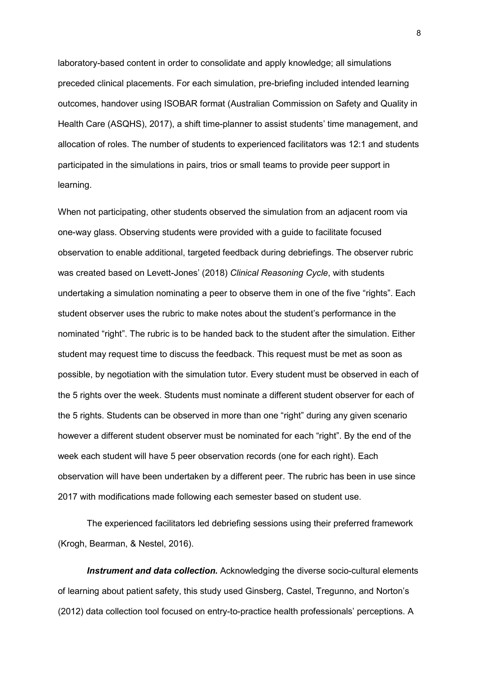laboratory-based content in order to consolidate and apply knowledge; all simulations preceded clinical placements. For each simulation, pre-briefing included intended learning outcomes, handover using ISOBAR format (Australian Commission on Safety and Quality in Health Care (ASQHS), 2017), a shift time-planner to assist students' time management, and allocation of roles. The number of students to experienced facilitators was 12:1 and students participated in the simulations in pairs, trios or small teams to provide peer support in learning.

When not participating, other students observed the simulation from an adjacent room via one-way glass. Observing students were provided with a guide to facilitate focused observation to enable additional, targeted feedback during debriefings. The observer rubric was created based on Levett-Jones' (2018) *Clinical Reasoning Cycle*, with students undertaking a simulation nominating a peer to observe them in one of the five "rights". Each student observer uses the rubric to make notes about the student's performance in the nominated "right". The rubric is to be handed back to the student after the simulation. Either student may request time to discuss the feedback. This request must be met as soon as possible, by negotiation with the simulation tutor. Every student must be observed in each of the 5 rights over the week. Students must nominate a different student observer for each of the 5 rights. Students can be observed in more than one "right" during any given scenario however a different student observer must be nominated for each "right". By the end of the week each student will have 5 peer observation records (one for each right). Each observation will have been undertaken by a different peer. The rubric has been in use since 2017 with modifications made following each semester based on student use.

The experienced facilitators led debriefing sessions using their preferred framework (Krogh, Bearman, & Nestel, 2016).

*Instrument and data collection.* Acknowledging the diverse socio-cultural elements of learning about patient safety, this study used Ginsberg, Castel, Tregunno, and Norton's (2012) data collection tool focused on entry-to-practice health professionals' perceptions. A

8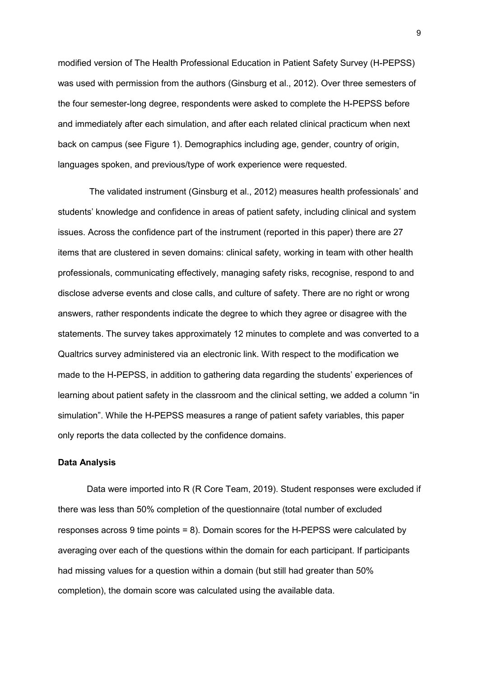modified version of The Health Professional Education in Patient Safety Survey (H-PEPSS) was used with permission from the authors (Ginsburg et al., 2012). Over three semesters of the four semester-long degree, respondents were asked to complete the H-PEPSS before and immediately after each simulation, and after each related clinical practicum when next back on campus (see Figure 1). Demographics including age, gender, country of origin, languages spoken, and previous/type of work experience were requested.

The validated instrument (Ginsburg et al., 2012) measures health professionals' and students' knowledge and confidence in areas of patient safety, including clinical and system issues. Across the confidence part of the instrument (reported in this paper) there are 27 items that are clustered in seven domains: clinical safety, working in team with other health professionals, communicating effectively, managing safety risks, recognise, respond to and disclose adverse events and close calls, and culture of safety. There are no right or wrong answers, rather respondents indicate the degree to which they agree or disagree with the statements. The survey takes approximately 12 minutes to complete and was converted to a Qualtrics survey administered via an electronic link. With respect to the modification we made to the H-PEPSS, in addition to gathering data regarding the students' experiences of learning about patient safety in the classroom and the clinical setting, we added a column "in simulation". While the H-PEPSS measures a range of patient safety variables, this paper only reports the data collected by the confidence domains.

#### **Data Analysis**

Data were imported into R (R Core Team, 2019). Student responses were excluded if there was less than 50% completion of the questionnaire (total number of excluded responses across 9 time points = 8). Domain scores for the H-PEPSS were calculated by averaging over each of the questions within the domain for each participant. If participants had missing values for a question within a domain (but still had greater than 50% completion), the domain score was calculated using the available data.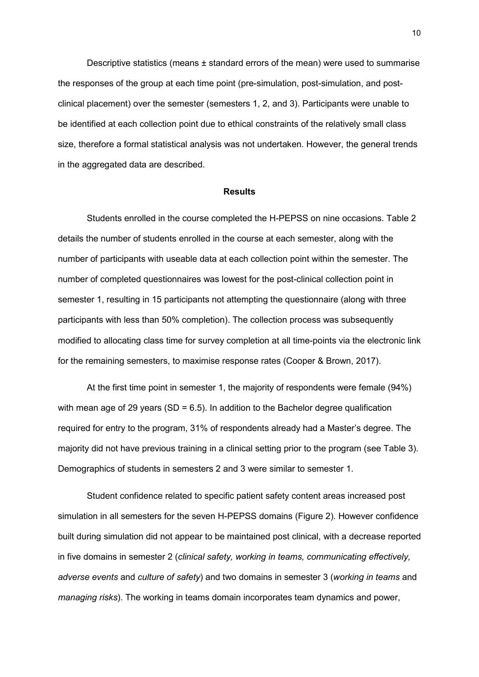Descriptive statistics (means  $\pm$  standard errors of the mean) were used to summarise the responses of the group at each time point (pre-simulation, post-simulation, and postclinical placement) over the semester (semesters 1, 2, and 3). Participants were unable to be identified at each collection point due to ethical constraints of the relatively small class size, therefore a formal statistical analysis was not undertaken. However, the general trends in the aggregated data are described.

#### **Results**

Students enrolled in the course completed the H-PEPSS on nine occasions. Table 2 details the number of students enrolled in the course at each semester, along with the number of participants with useable data at each collection point within the semester. The number of completed questionnaires was lowest for the post-clinical collection point in semester 1, resulting in 15 participants not attempting the questionnaire (along with three participants with less than 50% completion). The collection process was subsequently modified to allocating class time for survey completion at all time-points via the electronic link for the remaining semesters, to maximise response rates (Cooper & Brown, 2017).

At the first time point in semester 1, the majority of respondents were female (94%) with mean age of 29 years (SD =  $6.5$ ). In addition to the Bachelor degree qualification required for entry to the program, 31% of respondents already had a Master's degree. The majority did not have previous training in a clinical setting prior to the program (see Table 3). Demographics of students in semesters 2 and 3 were similar to semester 1.

Student confidence related to specific patient safety content areas increased post simulation in all semesters for the seven H-PEPSS domains (Figure 2). However confidence built during simulation did not appear to be maintained post clinical, with a decrease reported in five domains in semester 2 (*clinical safety, working in teams, communicating effectively, adverse events* and *culture of safety*) and two domains in semester 3 (*working in teams* and *managing risks*). The working in teams domain incorporates team dynamics and power,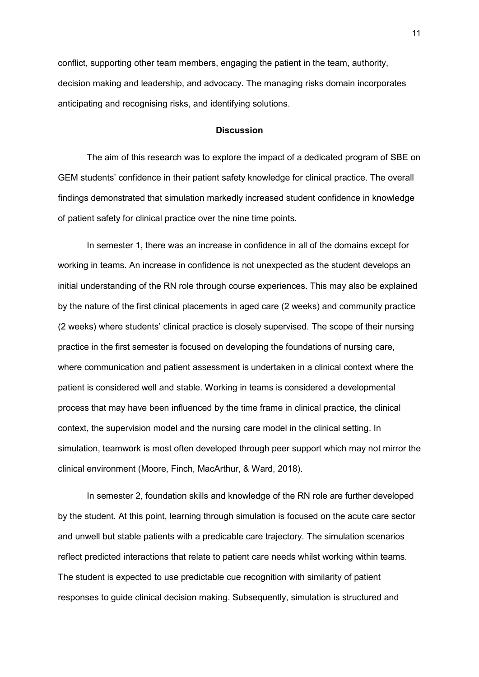conflict, supporting other team members, engaging the patient in the team, authority, decision making and leadership, and advocacy. The managing risks domain incorporates anticipating and recognising risks, and identifying solutions.

#### **Discussion**

The aim of this research was to explore the impact of a dedicated program of SBE on GEM students' confidence in their patient safety knowledge for clinical practice. The overall findings demonstrated that simulation markedly increased student confidence in knowledge of patient safety for clinical practice over the nine time points.

In semester 1, there was an increase in confidence in all of the domains except for working in teams. An increase in confidence is not unexpected as the student develops an initial understanding of the RN role through course experiences. This may also be explained by the nature of the first clinical placements in aged care (2 weeks) and community practice (2 weeks) where students' clinical practice is closely supervised. The scope of their nursing practice in the first semester is focused on developing the foundations of nursing care, where communication and patient assessment is undertaken in a clinical context where the patient is considered well and stable. Working in teams is considered a developmental process that may have been influenced by the time frame in clinical practice, the clinical context, the supervision model and the nursing care model in the clinical setting. In simulation, teamwork is most often developed through peer support which may not mirror the clinical environment (Moore, Finch, MacArthur, & Ward, 2018).

In semester 2, foundation skills and knowledge of the RN role are further developed by the student. At this point, learning through simulation is focused on the acute care sector and unwell but stable patients with a predicable care trajectory. The simulation scenarios reflect predicted interactions that relate to patient care needs whilst working within teams. The student is expected to use predictable cue recognition with similarity of patient responses to guide clinical decision making. Subsequently, simulation is structured and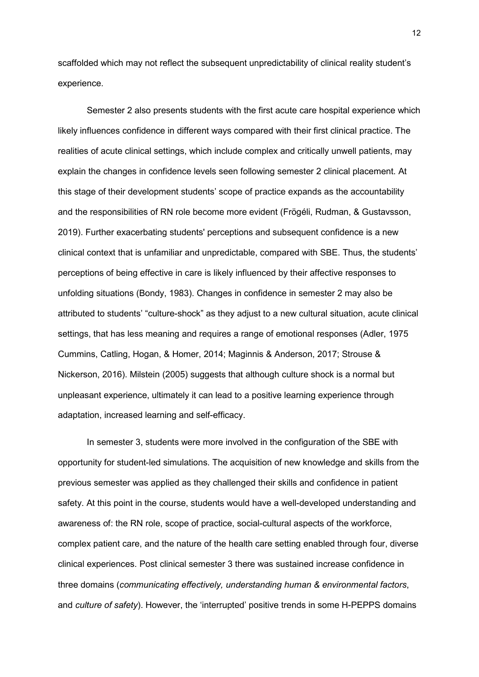scaffolded which may not reflect the subsequent unpredictability of clinical reality student's experience.

Semester 2 also presents students with the first acute care hospital experience which likely influences confidence in different ways compared with their first clinical practice. The realities of acute clinical settings, which include complex and critically unwell patients, may explain the changes in confidence levels seen following semester 2 clinical placement. At this stage of their development students' scope of practice expands as the accountability and the responsibilities of RN role become more evident (Frögéli, Rudman, & Gustavsson, 2019). Further exacerbating students' perceptions and subsequent confidence is a new clinical context that is unfamiliar and unpredictable, compared with SBE. Thus, the students' perceptions of being effective in care is likely influenced by their affective responses to unfolding situations (Bondy, 1983). Changes in confidence in semester 2 may also be attributed to students' "culture-shock" as they adjust to a new cultural situation, acute clinical settings, that has less meaning and requires a range of emotional responses (Adler, 1975 Cummins, Catling, Hogan, & Homer, 2014; Maginnis & Anderson, 2017; Strouse & Nickerson, 2016). Milstein (2005) suggests that although culture shock is a normal but unpleasant experience, ultimately it can lead to a positive learning experience through adaptation, increased learning and self-efficacy.

In semester 3, students were more involved in the configuration of the SBE with opportunity for student-led simulations. The acquisition of new knowledge and skills from the previous semester was applied as they challenged their skills and confidence in patient safety. At this point in the course, students would have a well-developed understanding and awareness of: the RN role, scope of practice, social-cultural aspects of the workforce, complex patient care, and the nature of the health care setting enabled through four, diverse clinical experiences. Post clinical semester 3 there was sustained increase confidence in three domains (*communicating effectively, understanding human & environmental factors*, and *culture of safety*). However, the 'interrupted' positive trends in some H-PEPPS domains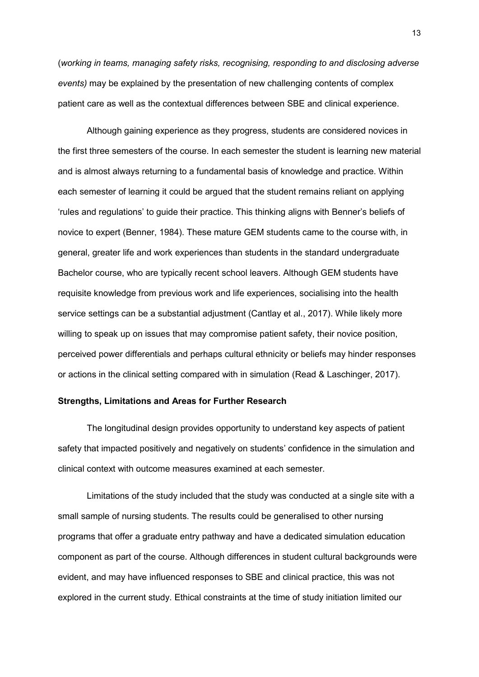(*working in teams, managing safety risks, recognising, responding to and disclosing adverse events)* may be explained by the presentation of new challenging contents of complex patient care as well as the contextual differences between SBE and clinical experience.

Although gaining experience as they progress, students are considered novices in the first three semesters of the course. In each semester the student is learning new material and is almost always returning to a fundamental basis of knowledge and practice. Within each semester of learning it could be argued that the student remains reliant on applying 'rules and regulations' to guide their practice. This thinking aligns with Benner's beliefs of novice to expert (Benner, 1984). These mature GEM students came to the course with, in general, greater life and work experiences than students in the standard undergraduate Bachelor course, who are typically recent school leavers. Although GEM students have requisite knowledge from previous work and life experiences, socialising into the health service settings can be a substantial adjustment (Cantlay et al., 2017). While likely more willing to speak up on issues that may compromise patient safety, their novice position, perceived power differentials and perhaps cultural ethnicity or beliefs may hinder responses or actions in the clinical setting compared with in simulation (Read & Laschinger, 2017).

#### **Strengths, Limitations and Areas for Further Research**

The longitudinal design provides opportunity to understand key aspects of patient safety that impacted positively and negatively on students' confidence in the simulation and clinical context with outcome measures examined at each semester.

Limitations of the study included that the study was conducted at a single site with a small sample of nursing students. The results could be generalised to other nursing programs that offer a graduate entry pathway and have a dedicated simulation education component as part of the course. Although differences in student cultural backgrounds were evident, and may have influenced responses to SBE and clinical practice, this was not explored in the current study. Ethical constraints at the time of study initiation limited our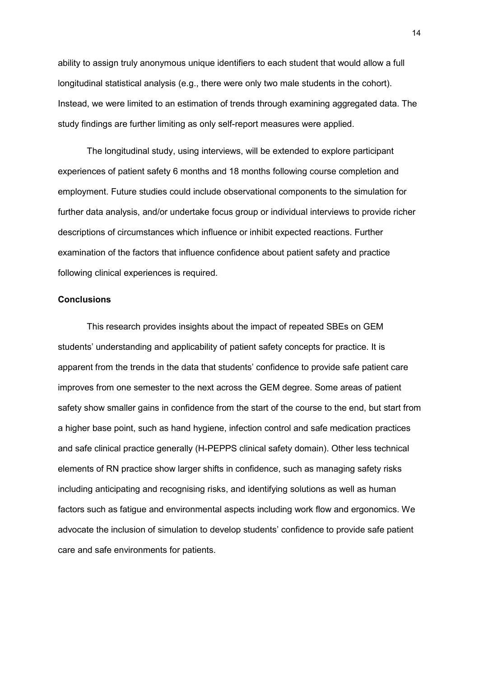ability to assign truly anonymous unique identifiers to each student that would allow a full longitudinal statistical analysis (e.g., there were only two male students in the cohort). Instead, we were limited to an estimation of trends through examining aggregated data. The study findings are further limiting as only self-report measures were applied.

The longitudinal study, using interviews, will be extended to explore participant experiences of patient safety 6 months and 18 months following course completion and employment. Future studies could include observational components to the simulation for further data analysis, and/or undertake focus group or individual interviews to provide richer descriptions of circumstances which influence or inhibit expected reactions. Further examination of the factors that influence confidence about patient safety and practice following clinical experiences is required.

#### **Conclusions**

This research provides insights about the impact of repeated SBEs on GEM students' understanding and applicability of patient safety concepts for practice. It is apparent from the trends in the data that students' confidence to provide safe patient care improves from one semester to the next across the GEM degree. Some areas of patient safety show smaller gains in confidence from the start of the course to the end, but start from a higher base point, such as hand hygiene, infection control and safe medication practices and safe clinical practice generally (H-PEPPS clinical safety domain). Other less technical elements of RN practice show larger shifts in confidence, such as managing safety risks including anticipating and recognising risks, and identifying solutions as well as human factors such as fatigue and environmental aspects including work flow and ergonomics. We advocate the inclusion of simulation to develop students' confidence to provide safe patient care and safe environments for patients.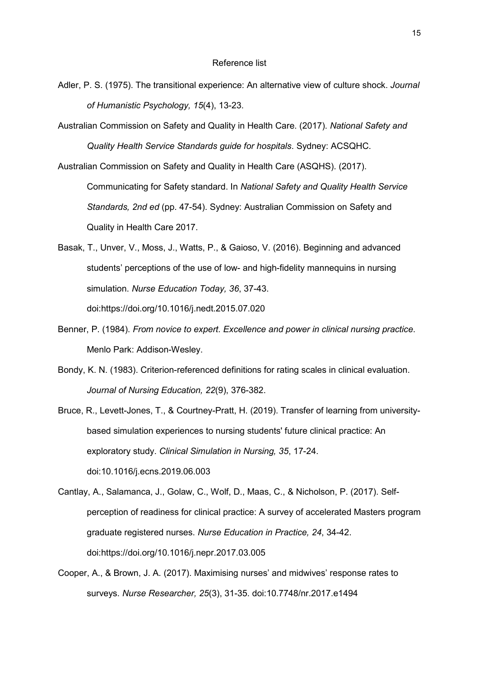- Adler, P. S. (1975). The transitional experience: An alternative view of culture shock. *Journal of Humanistic Psychology, 15*(4), 13-23.
- Australian Commission on Safety and Quality in Health Care. (2017). *National Safety and Quality Health Service Standards guide for hospitals*. Sydney: ACSQHC.

Australian Commission on Safety and Quality in Health Care (ASQHS). (2017).

Communicating for Safety standard. In *National Safety and Quality Health Service Standards, 2nd ed* (pp. 47-54). Sydney: Australian Commission on Safety and Quality in Health Care 2017.

- Basak, T., Unver, V., Moss, J., Watts, P., & Gaioso, V. (2016). Beginning and advanced students' perceptions of the use of low- and high-fidelity mannequins in nursing simulation. *Nurse Education Today, 36*, 37-43. doi:https://doi.org/10.1016/j.nedt.2015.07.020
- Benner, P. (1984). *From novice to expert. Excellence and power in clinical nursing practice*. Menlo Park: Addison-Wesley.
- Bondy, K. N. (1983). Criterion-referenced definitions for rating scales in clinical evaluation. *Journal of Nursing Education, 22*(9), 376-382.

Bruce, R., Levett-Jones, T., & Courtney-Pratt, H. (2019). Transfer of learning from universitybased simulation experiences to nursing students' future clinical practice: An exploratory study. *Clinical Simulation in Nursing, 35*, 17-24. doi:10.1016/j.ecns.2019.06.003

- Cantlay, A., Salamanca, J., Golaw, C., Wolf, D., Maas, C., & Nicholson, P. (2017). Selfperception of readiness for clinical practice: A survey of accelerated Masters program graduate registered nurses. *Nurse Education in Practice, 24*, 34-42. doi:https://doi.org/10.1016/j.nepr.2017.03.005
- Cooper, A., & Brown, J. A. (2017). Maximising nurses' and midwives' response rates to surveys. *Nurse Researcher, 25*(3), 31-35. doi:10.7748/nr.2017.e1494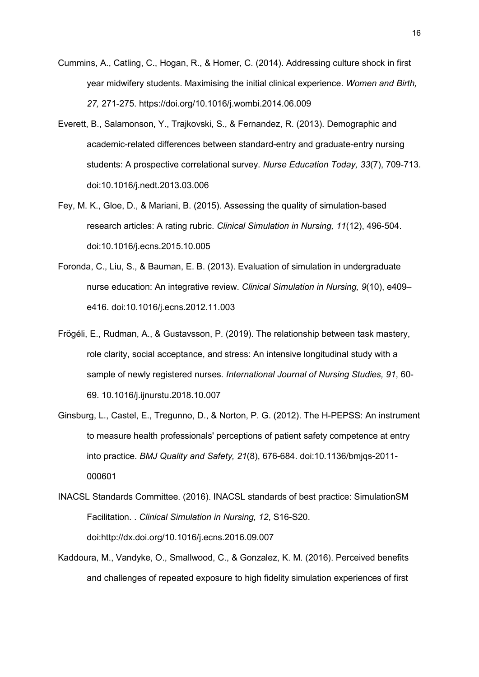- Cummins, A., Catling, C., Hogan, R., & Homer, C. (2014). Addressing culture shock in first year midwifery students. Maximising the initial clinical experience. *Women and Birth, 27,* 271-275. https://doi.org/10.1016/j.wombi.2014.06.009
- Everett, B., Salamonson, Y., Trajkovski, S., & Fernandez, R. (2013). Demographic and academic-related differences between standard-entry and graduate-entry nursing students: A prospective correlational survey. *Nurse Education Today, 33*(7), 709-713. doi:10.1016/j.nedt.2013.03.006
- Fey, M. K., Gloe, D., & Mariani, B. (2015). Assessing the quality of simulation-based research articles: A rating rubric. *Clinical Simulation in Nursing, 11*(12), 496-504. doi:10.1016/j.ecns.2015.10.005
- Foronda, C., Liu, S., & Bauman, E. B. (2013). Evaluation of simulation in undergraduate nurse education: An integrative review. *Clinical Simulation in Nursing, 9*(10), e409– e416. doi:10.1016/j.ecns.2012.11.003
- Frögéli, E., Rudman, A., & Gustavsson, P. (2019). The relationship between task mastery, role clarity, social acceptance, and stress: An intensive longitudinal study with a sample of newly registered nurses. *International Journal of Nursing Studies, 91*, 60- 69. 10.1016/j.ijnurstu.2018.10.007
- Ginsburg, L., Castel, E., Tregunno, D., & Norton, P. G. (2012). The H-PEPSS: An instrument to measure health professionals' perceptions of patient safety competence at entry into practice. *BMJ Quality and Safety, 21*(8), 676-684. doi:10.1136/bmjqs-2011- 000601
- INACSL Standards Committee. (2016). INACSL standards of best practice: SimulationSM Facilitation. . *Clinical Simulation in Nursing, 12*, S16-S20. doi:http://dx.doi.org/10.1016/j.ecns.2016.09.007
- Kaddoura, M., Vandyke, O., Smallwood, C., & Gonzalez, K. M. (2016). Perceived benefits and challenges of repeated exposure to high fidelity simulation experiences of first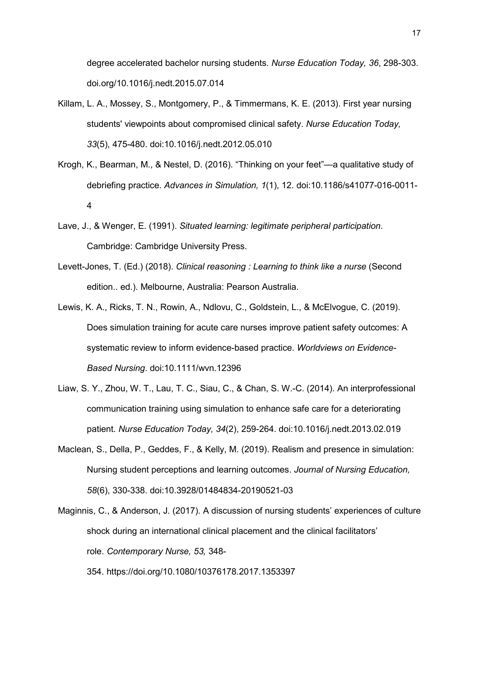degree accelerated bachelor nursing students. *Nurse Education Today, 36*, 298-303. doi.org/10.1016/j.nedt.2015.07.014

- Killam, L. A., Mossey, S., Montgomery, P., & Timmermans, K. E. (2013). First year nursing students' viewpoints about compromised clinical safety. *Nurse Education Today, 33*(5), 475-480. doi:10.1016/j.nedt.2012.05.010
- Krogh, K., Bearman, M., & Nestel, D. (2016). "Thinking on your feet"—a qualitative study of debriefing practice. *Advances in Simulation, 1*(1), 12. doi:10.1186/s41077-016-0011- 4
- Lave, J., & Wenger, E. (1991). *Situated learning: legitimate peripheral participation*. Cambridge: Cambridge University Press.
- Levett-Jones, T. (Ed.) (2018). *Clinical reasoning : Learning to think like a nurse* (Second edition.. ed.). Melbourne, Australia: Pearson Australia.
- Lewis, K. A., Ricks, T. N., Rowin, A., Ndlovu, C., Goldstein, L., & McElvogue, C. (2019). Does simulation training for acute care nurses improve patient safety outcomes: A systematic review to inform evidence-based practice. *Worldviews on Evidence-Based Nursing*. doi:10.1111/wvn.12396
- Liaw, S. Y., Zhou, W. T., Lau, T. C., Siau, C., & Chan, S. W.-C. (2014). An interprofessional communication training using simulation to enhance safe care for a deteriorating patient. *Nurse Education Today, 34*(2), 259-264. doi:10.1016/j.nedt.2013.02.019
- Maclean, S., Della, P., Geddes, F., & Kelly, M. (2019). Realism and presence in simulation: Nursing student perceptions and learning outcomes. *Journal of Nursing Education, 58*(6), 330-338. doi:10.3928/01484834-20190521-03
- Maginnis, C., & Anderson, J. (2017). A discussion of nursing students' experiences of culture shock during an international clinical placement and the clinical facilitators' role. *Contemporary Nurse, 53,* 348-
	- 354. https://doi.org/10.1080/10376178.2017.1353397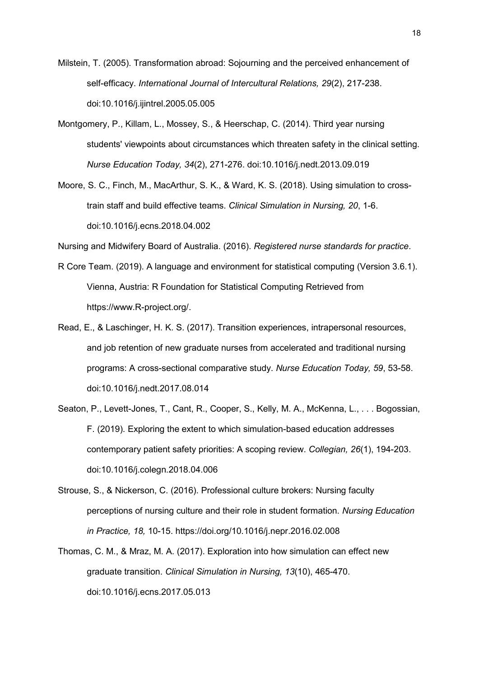Milstein, T. (2005). Transformation abroad: Sojourning and the perceived enhancement of self-efficacy. *International Journal of Intercultural Relations, 29*(2), 217-238. doi:10.1016/j.ijintrel.2005.05.005

- Montgomery, P., Killam, L., Mossey, S., & Heerschap, C. (2014). Third year nursing students' viewpoints about circumstances which threaten safety in the clinical setting. *Nurse Education Today, 34*(2), 271-276. doi:10.1016/j.nedt.2013.09.019
- Moore, S. C., Finch, M., MacArthur, S. K., & Ward, K. S. (2018). Using simulation to crosstrain staff and build effective teams. *Clinical Simulation in Nursing, 20*, 1-6. doi:10.1016/j.ecns.2018.04.002

Nursing and Midwifery Board of Australia. (2016). *Registered nurse standards for practice*.

- R Core Team. (2019). A language and environment for statistical computing (Version 3.6.1). Vienna, Austria: R Foundation for Statistical Computing Retrieved from https://www.R-project.org/.
- Read, E., & Laschinger, H. K. S. (2017). Transition experiences, intrapersonal resources, and job retention of new graduate nurses from accelerated and traditional nursing programs: A cross-sectional comparative study. *Nurse Education Today, 59*, 53-58. doi:10.1016/j.nedt.2017.08.014
- Seaton, P., Levett-Jones, T., Cant, R., Cooper, S., Kelly, M. A., McKenna, L., . . . Bogossian, F. (2019). Exploring the extent to which simulation-based education addresses contemporary patient safety priorities: A scoping review. *Collegian, 26*(1), 194-203. doi:10.1016/j.colegn.2018.04.006
- Strouse, S., & Nickerson, C. (2016). Professional culture brokers: Nursing faculty perceptions of nursing culture and their role in student formation. *Nursing Education in Practice, 18,* 10-15. https://doi.org/10.1016/j.nepr.2016.02.008
- Thomas, C. M., & Mraz, M. A. (2017). Exploration into how simulation can effect new graduate transition. *Clinical Simulation in Nursing, 13*(10), 465-470. doi:10.1016/j.ecns.2017.05.013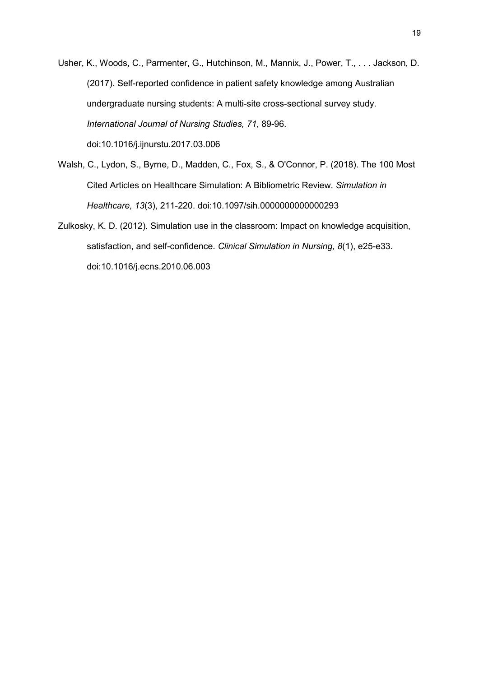- Usher, K., Woods, C., Parmenter, G., Hutchinson, M., Mannix, J., Power, T., . . . Jackson, D. (2017). Self-reported confidence in patient safety knowledge among Australian undergraduate nursing students: A multi-site cross-sectional survey study. *International Journal of Nursing Studies, 71*, 89-96. doi:10.1016/j.ijnurstu.2017.03.006
- Walsh, C., Lydon, S., Byrne, D., Madden, C., Fox, S., & O'Connor, P. (2018). The 100 Most Cited Articles on Healthcare Simulation: A Bibliometric Review. *Simulation in Healthcare, 13*(3), 211-220. doi:10.1097/sih.0000000000000293
- Zulkosky, K. D. (2012). Simulation use in the classroom: Impact on knowledge acquisition, satisfaction, and self-confidence. *Clinical Simulation in Nursing, 8*(1), e25-e33. doi:10.1016/j.ecns.2010.06.003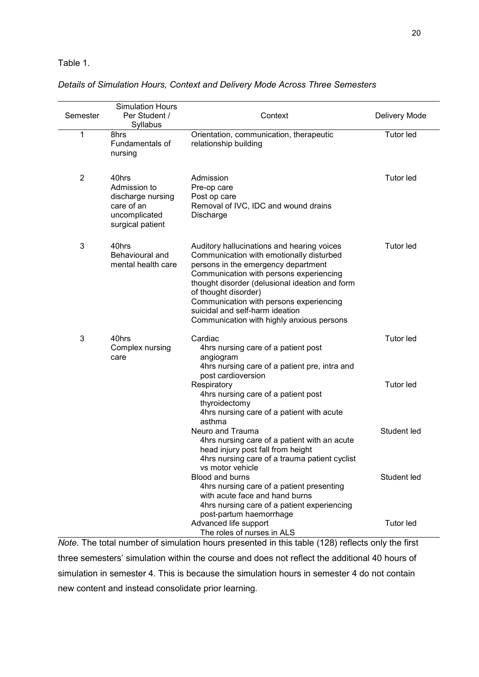Table 1.

*Details of Simulation Hours, Context and Delivery Mode Across Three Semesters*

| Semester       | <b>Simulation Hours</b><br>Per Student /<br>Syllabus                                          | Context                                                                                                                                                                                                                                                                                                                                                                       | Delivery Mode    |
|----------------|-----------------------------------------------------------------------------------------------|-------------------------------------------------------------------------------------------------------------------------------------------------------------------------------------------------------------------------------------------------------------------------------------------------------------------------------------------------------------------------------|------------------|
| 1              | 8hrs<br>Fundamentals of<br>nursing                                                            | Orientation, communication, therapeutic<br>relationship building                                                                                                                                                                                                                                                                                                              | <b>Tutor led</b> |
| $\overline{2}$ | 40hrs<br>Admission to<br>discharge nursing<br>care of an<br>uncomplicated<br>surgical patient | Admission<br>Pre-op care<br>Post op care<br>Removal of IVC, IDC and wound drains<br>Discharge                                                                                                                                                                                                                                                                                 | <b>Tutor led</b> |
| 3              | 40hrs<br>Behavioural and<br>mental health care                                                | Auditory hallucinations and hearing voices<br>Communication with emotionally disturbed<br>persons in the emergency department<br>Communication with persons experiencing<br>thought disorder (delusional ideation and form<br>of thought disorder)<br>Communication with persons experiencing<br>suicidal and self-harm ideation<br>Communication with highly anxious persons | <b>Tutor led</b> |
| 3              | 40hrs<br>Complex nursing<br>care                                                              | Cardiac<br>4hrs nursing care of a patient post<br>angiogram<br>4hrs nursing care of a patient pre, intra and<br>post cardioversion                                                                                                                                                                                                                                            | <b>Tutor led</b> |
|                |                                                                                               | Respiratory<br>4hrs nursing care of a patient post<br>thyroidectomy<br>4hrs nursing care of a patient with acute<br>asthma                                                                                                                                                                                                                                                    | <b>Tutor led</b> |
|                |                                                                                               | Neuro and Trauma<br>4hrs nursing care of a patient with an acute<br>head injury post fall from height<br>4hrs nursing care of a trauma patient cyclist<br>vs motor vehicle                                                                                                                                                                                                    | Student led      |
|                |                                                                                               | Blood and burns<br>4hrs nursing care of a patient presenting<br>with acute face and hand burns<br>4hrs nursing care of a patient experiencing<br>post-partum haemorrhage                                                                                                                                                                                                      | Student led      |
|                |                                                                                               | Advanced life support<br>The roles of nurses in ALS                                                                                                                                                                                                                                                                                                                           | <b>Tutor led</b> |

*Note.* The total number of simulation hours presented in this table (128) reflects only the first three semesters' simulation within the course and does not reflect the additional 40 hours of simulation in semester 4. This is because the simulation hours in semester 4 do not contain new content and instead consolidate prior learning.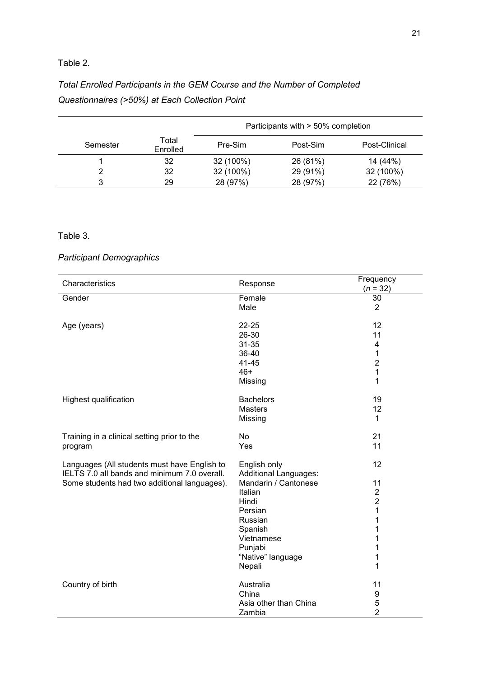# Table 2.

# *Total Enrolled Participants in the GEM Course and the Number of Completed Questionnaires (>50%) at Each Collection Point*

|          |                   | Participants with > 50% completion |          |               |
|----------|-------------------|------------------------------------|----------|---------------|
| Semester | Total<br>Enrolled | Pre-Sim                            | Post-Sim | Post-Clinical |
|          | 32                | 32 (100%)                          | 26 (81%) | 14 (44%)      |
|          | 32                | 32 (100%)                          | 29 (91%) | 32 (100%)     |
|          | 29                | 28 (97%)                           | 28 (97%) | 22 (76%)      |

# Table 3.

# *Participant Demographics*

| Characteristics                              | Response                     | Frequency                        |
|----------------------------------------------|------------------------------|----------------------------------|
| Gender                                       | Female                       | $(n = 32)$<br>30                 |
|                                              | Male                         | $\overline{2}$                   |
|                                              |                              |                                  |
| Age (years)                                  | 22-25                        | 12                               |
|                                              | 26-30                        | 11                               |
|                                              | 31-35                        | 4                                |
|                                              | 36-40                        | 1                                |
|                                              | 41-45                        | $\overline{2}$                   |
|                                              | $46+$                        | 1                                |
|                                              | Missing                      | 1                                |
| Highest qualification                        | <b>Bachelors</b>             | 19                               |
|                                              | Masters                      | 12                               |
|                                              | Missing                      | 1                                |
|                                              |                              |                                  |
| Training in a clinical setting prior to the  | No                           | 21                               |
| program                                      | Yes                          | 11                               |
|                                              |                              |                                  |
| Languages (All students must have English to | English only                 | 12                               |
| IELTS 7.0 all bands and minimum 7.0 overall. | <b>Additional Languages:</b> |                                  |
| Some students had two additional languages). | Mandarin / Cantonese         | 11                               |
|                                              | Italian                      | $\overline{2}$<br>$\overline{2}$ |
|                                              | Hindi<br>Persian             | 1                                |
|                                              | Russian                      | 1                                |
|                                              | Spanish                      | 1                                |
|                                              | Vietnamese                   | 1                                |
|                                              | Punjabi                      | 1                                |
|                                              | "Native" language            | 1                                |
|                                              | Nepali                       | 1                                |
|                                              |                              |                                  |
| Country of birth                             | Australia                    | 11                               |
|                                              | China                        | 9                                |
|                                              | Asia other than China        | 5                                |
|                                              | Zambia                       | $\overline{2}$                   |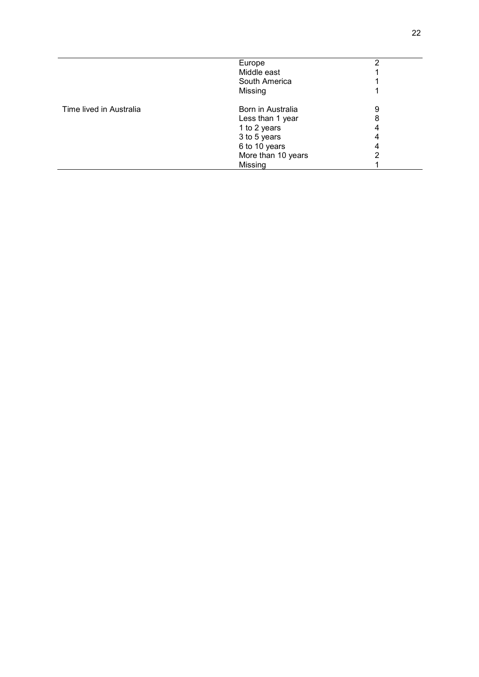|                         | Europe             |   |
|-------------------------|--------------------|---|
|                         | Middle east        |   |
|                         | South America      |   |
|                         | Missing            |   |
| Time lived in Australia | Born in Australia  | 9 |
|                         | Less than 1 year   | 8 |
|                         | 1 to 2 years       |   |
|                         | 3 to 5 years       |   |
|                         | 6 to 10 years      |   |
|                         | More than 10 years |   |
|                         | Missing            |   |